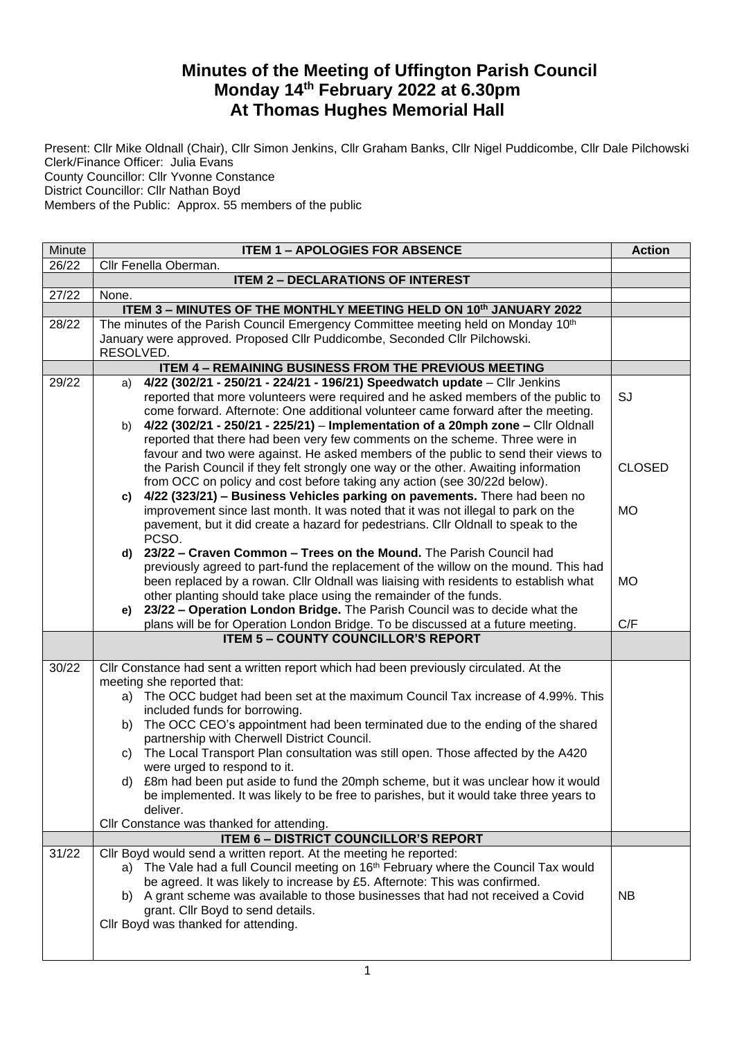## **Minutes of the Meeting of Uffington Parish Council Monday 14th February 2022 at 6.30pm At Thomas Hughes Memorial Hall**

Present: Cllr Mike Oldnall (Chair), Cllr Simon Jenkins, Cllr Graham Banks, Cllr Nigel Puddicombe, Cllr Dale Pilchowski Clerk/Finance Officer: Julia Evans County Councillor: Cllr Yvonne Constance

District Councillor: Cllr Nathan Boyd

Members of the Public: Approx. 55 members of the public

| Minute | <b>ITEM 1 - APOLOGIES FOR ABSENCE</b>                                                                                                                           |               |  |  |
|--------|-----------------------------------------------------------------------------------------------------------------------------------------------------------------|---------------|--|--|
| 26/22  | Cllr Fenella Oberman.                                                                                                                                           |               |  |  |
|        | <b>ITEM 2 - DECLARATIONS OF INTEREST</b>                                                                                                                        |               |  |  |
| 27/22  | None.                                                                                                                                                           |               |  |  |
|        | ITEM 3 - MINUTES OF THE MONTHLY MEETING HELD ON 10th JANUARY 2022                                                                                               |               |  |  |
| 28/22  | The minutes of the Parish Council Emergency Committee meeting held on Monday 10th<br>January were approved. Proposed Cllr Puddicombe, Seconded Cllr Pilchowski. |               |  |  |
|        | RESOLVED.                                                                                                                                                       |               |  |  |
|        | <b>ITEM 4 - REMAINING BUSINESS FROM THE PREVIOUS MEETING</b>                                                                                                    |               |  |  |
| 29/22  | 4/22 (302/21 - 250/21 - 224/21 - 196/21) Speedwatch update - Cllr Jenkins<br>a)                                                                                 |               |  |  |
|        | reported that more volunteers were required and he asked members of the public to                                                                               | SJ            |  |  |
|        | come forward. Afternote: One additional volunteer came forward after the meeting.                                                                               |               |  |  |
|        | 4/22 (302/21 - 250/21 - 225/21) - Implementation of a 20mph zone - Cllr Oldnall<br>b)                                                                           |               |  |  |
|        | reported that there had been very few comments on the scheme. Three were in                                                                                     |               |  |  |
|        | favour and two were against. He asked members of the public to send their views to                                                                              |               |  |  |
|        | the Parish Council if they felt strongly one way or the other. Awaiting information                                                                             | <b>CLOSED</b> |  |  |
|        | from OCC on policy and cost before taking any action (see 30/22d below).<br>4/22 (323/21) - Business Vehicles parking on pavements. There had been no<br>c)     |               |  |  |
|        | improvement since last month. It was noted that it was not illegal to park on the                                                                               | <b>MO</b>     |  |  |
|        | pavement, but it did create a hazard for pedestrians. Cllr Oldnall to speak to the                                                                              |               |  |  |
|        | PCSO.                                                                                                                                                           |               |  |  |
|        | 23/22 - Craven Common - Trees on the Mound. The Parish Council had<br>d)                                                                                        |               |  |  |
|        | previously agreed to part-fund the replacement of the willow on the mound. This had                                                                             |               |  |  |
|        | been replaced by a rowan. Cllr Oldnall was liaising with residents to establish what                                                                            | <b>MO</b>     |  |  |
|        | other planting should take place using the remainder of the funds.                                                                                              |               |  |  |
|        | e) 23/22 - Operation London Bridge. The Parish Council was to decide what the                                                                                   |               |  |  |
|        | plans will be for Operation London Bridge. To be discussed at a future meeting.<br><b>ITEM 5 - COUNTY COUNCILLOR'S REPORT</b>                                   | C/F           |  |  |
|        |                                                                                                                                                                 |               |  |  |
| 30/22  | Cllr Constance had sent a written report which had been previously circulated. At the                                                                           |               |  |  |
|        | meeting she reported that:                                                                                                                                      |               |  |  |
|        | a) The OCC budget had been set at the maximum Council Tax increase of 4.99%. This                                                                               |               |  |  |
|        | included funds for borrowing.<br>The OCC CEO's appointment had been terminated due to the ending of the shared<br>b)                                            |               |  |  |
|        | partnership with Cherwell District Council.                                                                                                                     |               |  |  |
|        | The Local Transport Plan consultation was still open. Those affected by the A420<br>C)                                                                          |               |  |  |
|        | were urged to respond to it.                                                                                                                                    |               |  |  |
|        | d) £8m had been put aside to fund the 20mph scheme, but it was unclear how it would                                                                             |               |  |  |
|        | be implemented. It was likely to be free to parishes, but it would take three years to                                                                          |               |  |  |
|        | deliver.                                                                                                                                                        |               |  |  |
|        | Cllr Constance was thanked for attending.                                                                                                                       |               |  |  |
| 31/22  | <b>ITEM 6 - DISTRICT COUNCILLOR'S REPORT</b><br>Cllr Boyd would send a written report. At the meeting he reported:                                              |               |  |  |
|        | a) The Vale had a full Council meeting on 16th February where the Council Tax would                                                                             |               |  |  |
|        | be agreed. It was likely to increase by £5. Afternote: This was confirmed.                                                                                      |               |  |  |
|        | b) A grant scheme was available to those businesses that had not received a Covid                                                                               | <b>NB</b>     |  |  |
|        | grant. Cllr Boyd to send details.                                                                                                                               |               |  |  |
|        | Cllr Boyd was thanked for attending.                                                                                                                            |               |  |  |
|        |                                                                                                                                                                 |               |  |  |
|        |                                                                                                                                                                 |               |  |  |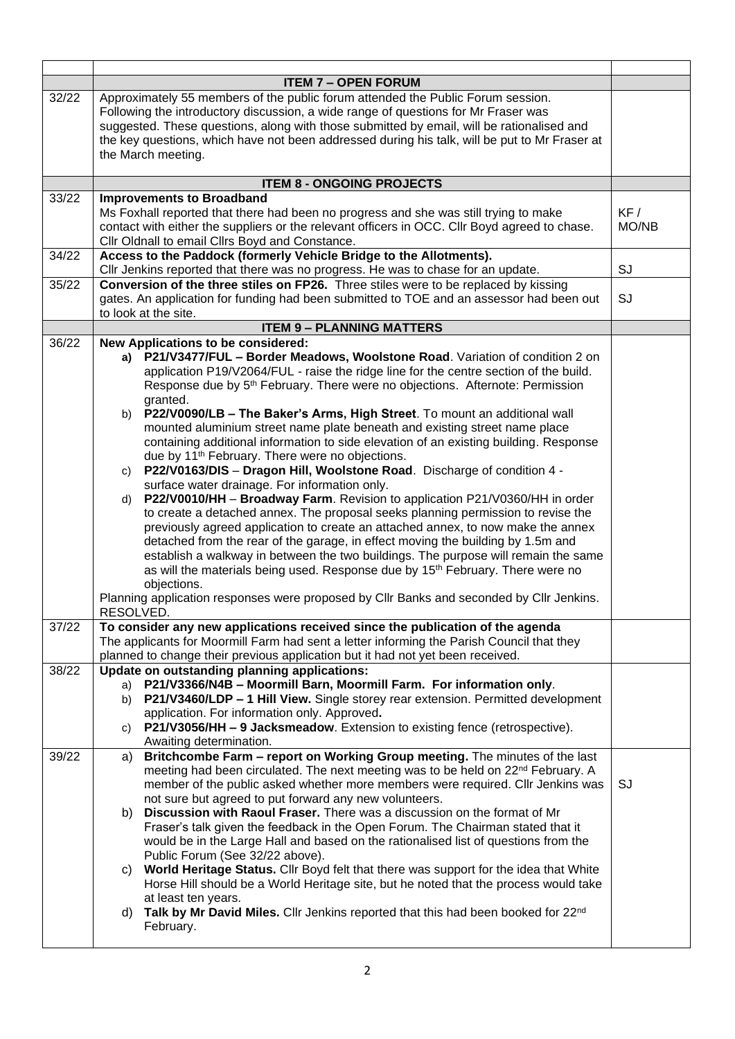|       | <b>ITEM 7 - OPEN FORUM</b>                                                                                                                                                                                                                                                                                                                                                                                                                                                                                                                                                                                                                                                                                                                                                                                                                                                                                                                                                                                                                                                                                                                                                                                                                                                                                                                                                                                                                 |           |  |
|-------|--------------------------------------------------------------------------------------------------------------------------------------------------------------------------------------------------------------------------------------------------------------------------------------------------------------------------------------------------------------------------------------------------------------------------------------------------------------------------------------------------------------------------------------------------------------------------------------------------------------------------------------------------------------------------------------------------------------------------------------------------------------------------------------------------------------------------------------------------------------------------------------------------------------------------------------------------------------------------------------------------------------------------------------------------------------------------------------------------------------------------------------------------------------------------------------------------------------------------------------------------------------------------------------------------------------------------------------------------------------------------------------------------------------------------------------------|-----------|--|
| 32/22 | Approximately 55 members of the public forum attended the Public Forum session.<br>Following the introductory discussion, a wide range of questions for Mr Fraser was<br>suggested. These questions, along with those submitted by email, will be rationalised and<br>the key questions, which have not been addressed during his talk, will be put to Mr Fraser at<br>the March meeting.                                                                                                                                                                                                                                                                                                                                                                                                                                                                                                                                                                                                                                                                                                                                                                                                                                                                                                                                                                                                                                                  |           |  |
|       | <b>ITEM 8 - ONGOING PROJECTS</b>                                                                                                                                                                                                                                                                                                                                                                                                                                                                                                                                                                                                                                                                                                                                                                                                                                                                                                                                                                                                                                                                                                                                                                                                                                                                                                                                                                                                           |           |  |
| 33/22 | <b>Improvements to Broadband</b><br>Ms Foxhall reported that there had been no progress and she was still trying to make<br>contact with either the suppliers or the relevant officers in OCC. Cllr Boyd agreed to chase.<br>Cllr Oldnall to email Cllrs Boyd and Constance.                                                                                                                                                                                                                                                                                                                                                                                                                                                                                                                                                                                                                                                                                                                                                                                                                                                                                                                                                                                                                                                                                                                                                               |           |  |
| 34/22 | Access to the Paddock (formerly Vehicle Bridge to the Allotments).<br>Cllr Jenkins reported that there was no progress. He was to chase for an update.<br>SJ                                                                                                                                                                                                                                                                                                                                                                                                                                                                                                                                                                                                                                                                                                                                                                                                                                                                                                                                                                                                                                                                                                                                                                                                                                                                               |           |  |
| 35/22 | Conversion of the three stiles on FP26. Three stiles were to be replaced by kissing<br>gates. An application for funding had been submitted to TOE and an assessor had been out<br>to look at the site.                                                                                                                                                                                                                                                                                                                                                                                                                                                                                                                                                                                                                                                                                                                                                                                                                                                                                                                                                                                                                                                                                                                                                                                                                                    | SJ        |  |
|       | <b>ITEM 9 - PLANNING MATTERS</b>                                                                                                                                                                                                                                                                                                                                                                                                                                                                                                                                                                                                                                                                                                                                                                                                                                                                                                                                                                                                                                                                                                                                                                                                                                                                                                                                                                                                           |           |  |
| 36/22 | New Applications to be considered:<br>a) P21/V3477/FUL - Border Meadows, Woolstone Road. Variation of condition 2 on<br>application P19/V2064/FUL - raise the ridge line for the centre section of the build.<br>Response due by 5 <sup>th</sup> February. There were no objections. Afternote: Permission<br>granted.<br>b) P22/V0090/LB - The Baker's Arms, High Street. To mount an additional wall<br>mounted aluminium street name plate beneath and existing street name place<br>containing additional information to side elevation of an existing building. Response<br>due by 11 <sup>th</sup> February. There were no objections.<br>P22/V0163/DIS - Dragon Hill, Woolstone Road. Discharge of condition 4 -<br>C)<br>surface water drainage. For information only.<br>P22/V0010/HH - Broadway Farm. Revision to application P21/V0360/HH in order<br>d)<br>to create a detached annex. The proposal seeks planning permission to revise the<br>previously agreed application to create an attached annex, to now make the annex<br>detached from the rear of the garage, in effect moving the building by 1.5m and<br>establish a walkway in between the two buildings. The purpose will remain the same<br>as will the materials being used. Response due by 15 <sup>th</sup> February. There were no<br>objections.<br>Planning application responses were proposed by Cllr Banks and seconded by Cllr Jenkins.<br>RESOLVED. |           |  |
| 37/22 | To consider any new applications received since the publication of the agenda<br>The applicants for Moormill Farm had sent a letter informing the Parish Council that they<br>planned to change their previous application but it had not yet been received.                                                                                                                                                                                                                                                                                                                                                                                                                                                                                                                                                                                                                                                                                                                                                                                                                                                                                                                                                                                                                                                                                                                                                                               |           |  |
| 38/22 | Update on outstanding planning applications:<br>P21/V3366/N4B - Moormill Barn, Moormill Farm. For information only.<br>a)<br>P21/V3460/LDP - 1 Hill View. Single storey rear extension. Permitted development<br>b)<br>application. For information only. Approved.<br>P21/V3056/HH - 9 Jacksmeadow. Extension to existing fence (retrospective).<br>C)<br>Awaiting determination.                                                                                                                                                                                                                                                                                                                                                                                                                                                                                                                                                                                                                                                                                                                                                                                                                                                                                                                                                                                                                                                         |           |  |
| 39/22 | Britchcombe Farm - report on Working Group meeting. The minutes of the last<br>a)<br>meeting had been circulated. The next meeting was to be held on 22 <sup>nd</sup> February. A<br>member of the public asked whether more members were required. Cllr Jenkins was<br>not sure but agreed to put forward any new volunteers.<br>Discussion with Raoul Fraser. There was a discussion on the format of Mr<br>b)<br>Fraser's talk given the feedback in the Open Forum. The Chairman stated that it<br>would be in the Large Hall and based on the rationalised list of questions from the<br>Public Forum (See 32/22 above).<br>World Heritage Status. Cllr Boyd felt that there was support for the idea that White<br>C)<br>Horse Hill should be a World Heritage site, but he noted that the process would take<br>at least ten years.<br>Talk by Mr David Miles. Cllr Jenkins reported that this had been booked for 22 <sup>nd</sup><br>d)<br>February.                                                                                                                                                                                                                                                                                                                                                                                                                                                                              | <b>SJ</b> |  |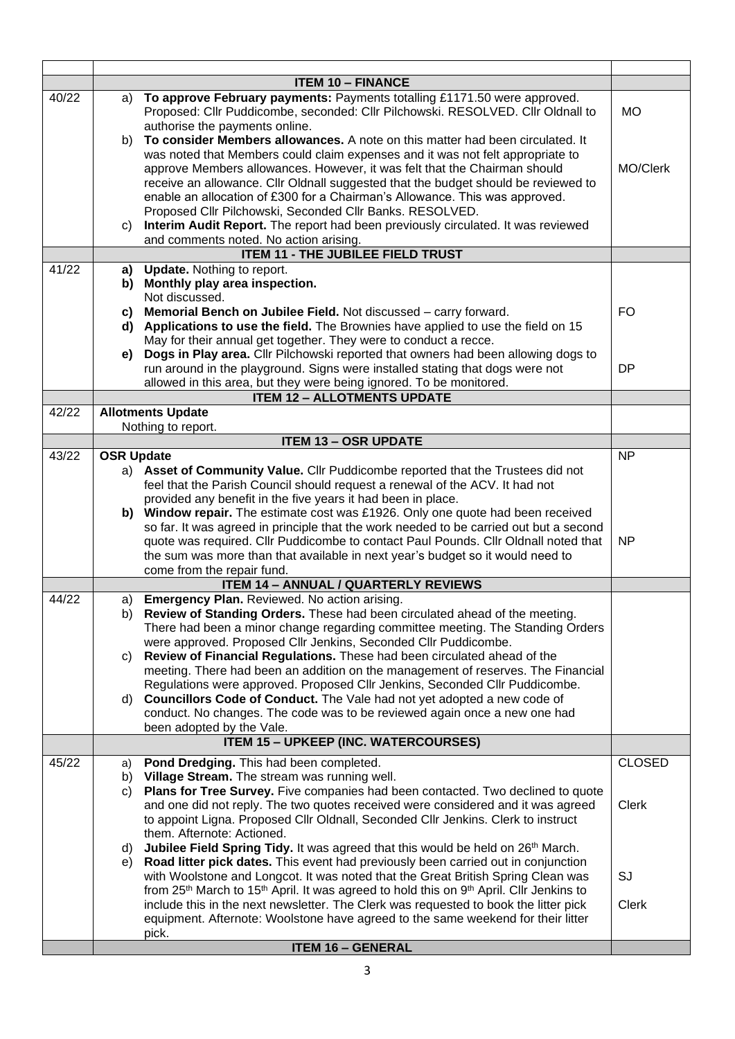|       |                   | <b>ITEM 10 - FINANCE</b>                                                                                                                                                                                                                                                                                                                                                                                                                                                                                                                                                                                                                                                                                                     |                               |
|-------|-------------------|------------------------------------------------------------------------------------------------------------------------------------------------------------------------------------------------------------------------------------------------------------------------------------------------------------------------------------------------------------------------------------------------------------------------------------------------------------------------------------------------------------------------------------------------------------------------------------------------------------------------------------------------------------------------------------------------------------------------------|-------------------------------|
| 40/22 | a)                | To approve February payments: Payments totalling £1171.50 were approved.<br>Proposed: Cllr Puddicombe, seconded: Cllr Pilchowski. RESOLVED. Cllr Oldnall to<br>authorise the payments online.                                                                                                                                                                                                                                                                                                                                                                                                                                                                                                                                | МO                            |
|       | b)                | To consider Members allowances. A note on this matter had been circulated. It<br>was noted that Members could claim expenses and it was not felt appropriate to<br>approve Members allowances. However, it was felt that the Chairman should<br>receive an allowance. Cllr Oldnall suggested that the budget should be reviewed to<br>enable an allocation of £300 for a Chairman's Allowance. This was approved.<br>Proposed Cllr Pilchowski, Seconded Cllr Banks. RESOLVED.                                                                                                                                                                                                                                                | MO/Clerk                      |
|       | C)                | Interim Audit Report. The report had been previously circulated. It was reviewed<br>and comments noted. No action arising.                                                                                                                                                                                                                                                                                                                                                                                                                                                                                                                                                                                                   |                               |
|       |                   | ITEM 11 - THE JUBILEE FIELD TRUST                                                                                                                                                                                                                                                                                                                                                                                                                                                                                                                                                                                                                                                                                            |                               |
| 41/22 | a)<br>b)          | <b>Update.</b> Nothing to report.<br>Monthly play area inspection.<br>Not discussed.                                                                                                                                                                                                                                                                                                                                                                                                                                                                                                                                                                                                                                         |                               |
|       | C)                | Memorial Bench on Jubilee Field. Not discussed - carry forward.<br>d) Applications to use the field. The Brownies have applied to use the field on 15<br>May for their annual get together. They were to conduct a recce.                                                                                                                                                                                                                                                                                                                                                                                                                                                                                                    | <b>FO</b>                     |
|       | e)                | Dogs in Play area. Cllr Pilchowski reported that owners had been allowing dogs to<br>run around in the playground. Signs were installed stating that dogs were not<br>allowed in this area, but they were being ignored. To be monitored.                                                                                                                                                                                                                                                                                                                                                                                                                                                                                    | <b>DP</b>                     |
|       |                   | <b>ITEM 12 - ALLOTMENTS UPDATE</b>                                                                                                                                                                                                                                                                                                                                                                                                                                                                                                                                                                                                                                                                                           |                               |
| 42/22 |                   | <b>Allotments Update</b><br>Nothing to report.                                                                                                                                                                                                                                                                                                                                                                                                                                                                                                                                                                                                                                                                               |                               |
|       |                   | <b>ITEM 13 - OSR UPDATE</b>                                                                                                                                                                                                                                                                                                                                                                                                                                                                                                                                                                                                                                                                                                  |                               |
| 43/22 | <b>OSR Update</b> | a) Asset of Community Value. Cllr Puddicombe reported that the Trustees did not<br>feel that the Parish Council should request a renewal of the ACV. It had not                                                                                                                                                                                                                                                                                                                                                                                                                                                                                                                                                              | <b>NP</b>                     |
|       |                   | provided any benefit in the five years it had been in place.<br>b) Window repair. The estimate cost was £1926. Only one quote had been received<br>so far. It was agreed in principle that the work needed to be carried out but a second<br>quote was required. Cllr Puddicombe to contact Paul Pounds. Cllr Oldnall noted that<br>the sum was more than that available in next year's budget so it would need to<br>come from the repair fund.                                                                                                                                                                                                                                                                             | <b>NP</b>                     |
|       |                   | <b>ITEM 14 - ANNUAL / QUARTERLY REVIEWS</b>                                                                                                                                                                                                                                                                                                                                                                                                                                                                                                                                                                                                                                                                                  |                               |
| 44/22 | b)<br>C)<br>d)    | a) Emergency Plan. Reviewed. No action arising.<br>Review of Standing Orders. These had been circulated ahead of the meeting.<br>There had been a minor change regarding committee meeting. The Standing Orders<br>were approved. Proposed Cllr Jenkins, Seconded Cllr Puddicombe.<br>Review of Financial Regulations. These had been circulated ahead of the<br>meeting. There had been an addition on the management of reserves. The Financial<br>Regulations were approved. Proposed Cllr Jenkins, Seconded Cllr Puddicombe.<br><b>Councillors Code of Conduct.</b> The Vale had not yet adopted a new code of<br>conduct. No changes. The code was to be reviewed again once a new one had<br>been adopted by the Vale. |                               |
|       |                   | <b>ITEM 15 - UPKEEP (INC. WATERCOURSES)</b>                                                                                                                                                                                                                                                                                                                                                                                                                                                                                                                                                                                                                                                                                  |                               |
| 45/22 | a)<br>b)<br>C)    | Pond Dredging. This had been completed.<br>Village Stream. The stream was running well.<br>Plans for Tree Survey. Five companies had been contacted. Two declined to quote<br>and one did not reply. The two quotes received were considered and it was agreed<br>to appoint Ligna. Proposed Cllr Oldnall, Seconded Cllr Jenkins. Clerk to instruct                                                                                                                                                                                                                                                                                                                                                                          | <b>CLOSED</b><br><b>Clerk</b> |
|       | d)<br>e)          | them. Afternote: Actioned.<br>Jubilee Field Spring Tidy. It was agreed that this would be held on 26 <sup>th</sup> March.<br>Road litter pick dates. This event had previously been carried out in conjunction<br>with Woolstone and Longcot. It was noted that the Great British Spring Clean was<br>from 25 <sup>th</sup> March to 15 <sup>th</sup> April. It was agreed to hold this on 9 <sup>th</sup> April. Cllr Jenkins to<br>include this in the next newsletter. The Clerk was requested to book the litter pick<br>equipment. Afternote: Woolstone have agreed to the same weekend for their litter<br>pick.<br><b>ITEM 16 - GENERAL</b>                                                                           | SJ<br><b>Clerk</b>            |